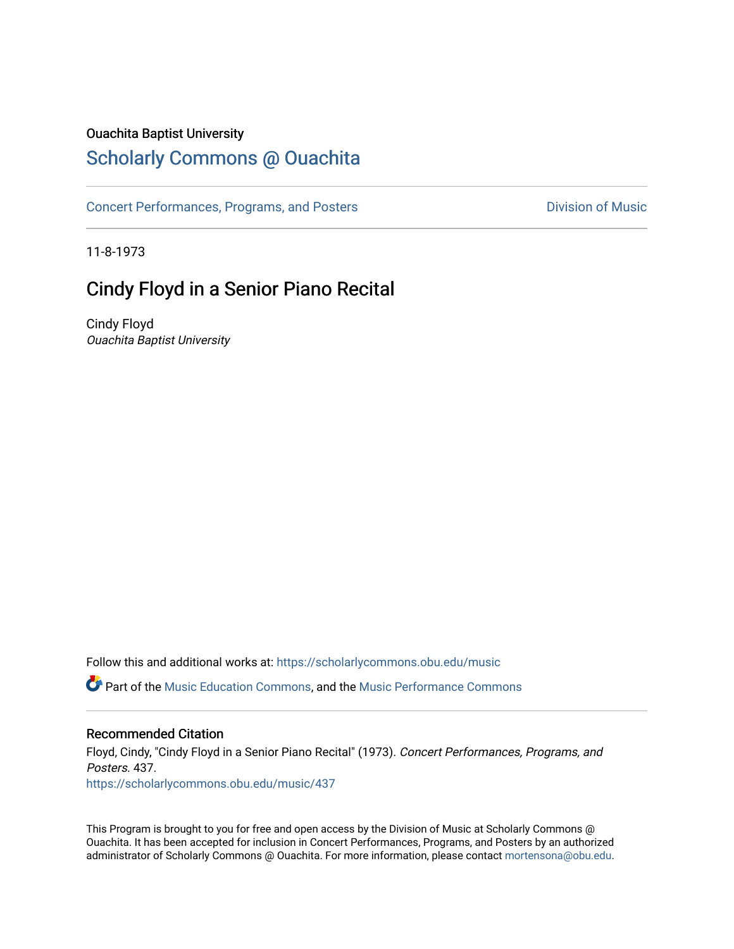### Ouachita Baptist University

# [Scholarly Commons @ Ouachita](https://scholarlycommons.obu.edu/)

[Concert Performances, Programs, and Posters](https://scholarlycommons.obu.edu/music) **Division of Music** Division of Music

11-8-1973

## Cindy Floyd in a Senior Piano Recital

Cindy Floyd Ouachita Baptist University

Follow this and additional works at: [https://scholarlycommons.obu.edu/music](https://scholarlycommons.obu.edu/music?utm_source=scholarlycommons.obu.edu%2Fmusic%2F437&utm_medium=PDF&utm_campaign=PDFCoverPages)  Part of the [Music Education Commons,](http://network.bepress.com/hgg/discipline/1246?utm_source=scholarlycommons.obu.edu%2Fmusic%2F437&utm_medium=PDF&utm_campaign=PDFCoverPages) and the [Music Performance Commons](http://network.bepress.com/hgg/discipline/1128?utm_source=scholarlycommons.obu.edu%2Fmusic%2F437&utm_medium=PDF&utm_campaign=PDFCoverPages) 

#### Recommended Citation

Floyd, Cindy, "Cindy Floyd in a Senior Piano Recital" (1973). Concert Performances, Programs, and Posters. 437. [https://scholarlycommons.obu.edu/music/437](https://scholarlycommons.obu.edu/music/437?utm_source=scholarlycommons.obu.edu%2Fmusic%2F437&utm_medium=PDF&utm_campaign=PDFCoverPages) 

This Program is brought to you for free and open access by the Division of Music at Scholarly Commons @ Ouachita. It has been accepted for inclusion in Concert Performances, Programs, and Posters by an authorized administrator of Scholarly Commons @ Ouachita. For more information, please contact [mortensona@obu.edu](mailto:mortensona@obu.edu).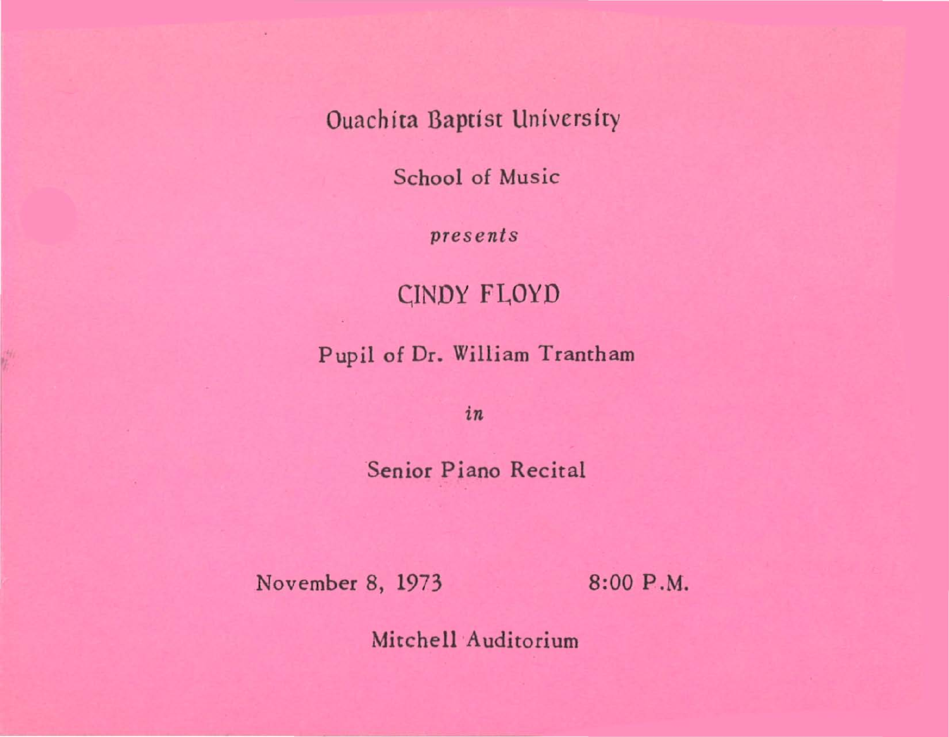Ouachita Baptist University

School of Music

pre sents

CINDY FLOYD

Pupil of Dr. William Trantham

*in* 

Senior Piano Recital

November 8, 1973 8:00 P.M.

Mitchell Auditorium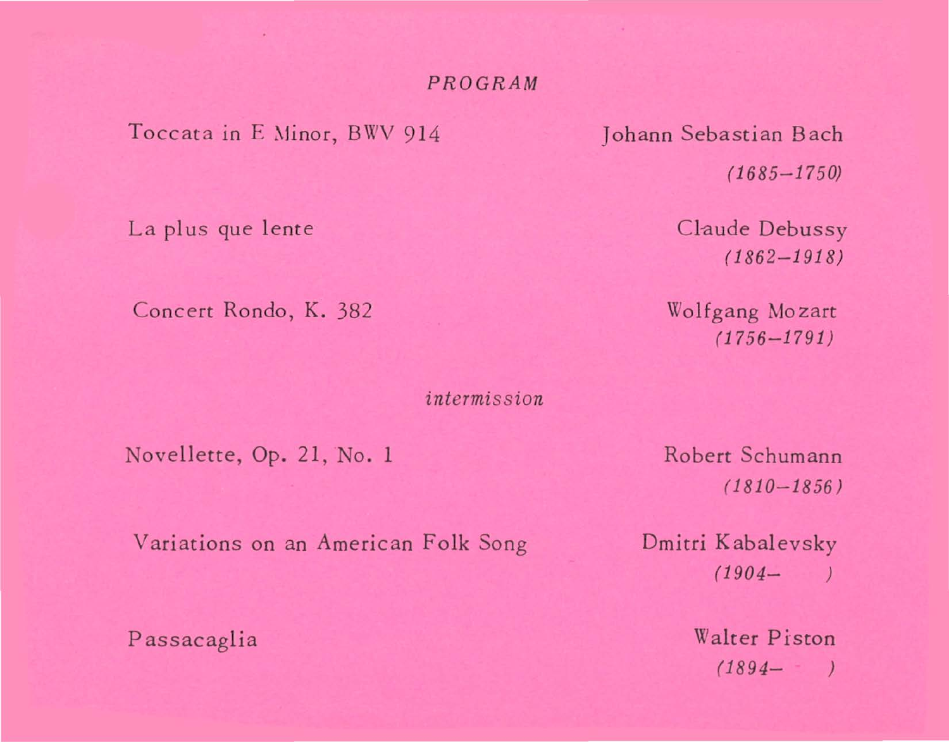#### PROGRAM

Toccata in E Minor, BWV 914

La plus que lente

Concert Rondo, K. 382

intermission

Novellette, Op. 21, No. 1

Johann Sebastian Bach  $(1685 - 1750)$ 

> Claude Debussy  $(1862 - 1918)$

Wolfgang Mozart  $(1756 - 1791)$ 

Robert Schumann  $(1810 - 1856)$ 

Variations on an American Folk Song

Passacaglia

Dmitri Kabalevsky  $(1904 \overline{\phantom{a}}$ 

> Walter Piston  $(1894 - 9)$